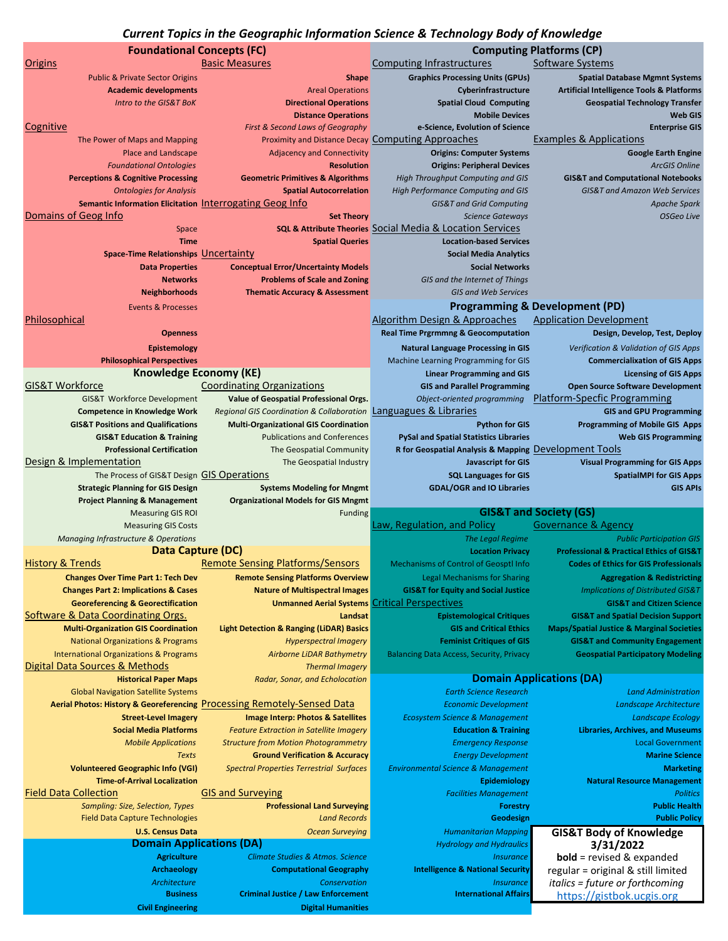## *Current Topics in the Geographic Information Science & Technology Body of Knowledge*

| <b>Foundational Concepts (FC)</b>                                  |                                                                                   |                                                                                                        | <b>Computing Platforms (CP)</b>                                                            |
|--------------------------------------------------------------------|-----------------------------------------------------------------------------------|--------------------------------------------------------------------------------------------------------|--------------------------------------------------------------------------------------------|
| Origins                                                            | <b>Basic Measures</b>                                                             | <b>Computing Infrastructures</b>                                                                       | Software Systems                                                                           |
| <b>Public &amp; Private Sector Origins</b>                         | <b>Shape</b>                                                                      | <b>Graphics Processing Units (GPUs)</b>                                                                | <b>Spatial Database Mgmnt Systems</b>                                                      |
| <b>Academic developments</b>                                       | <b>Areal Operations</b>                                                           | Cyberinfrastructure                                                                                    | <b>Artificial Intelligence Tools &amp; Platforms</b>                                       |
| Intro to the GIS&T BoK                                             | <b>Directional Operations</b>                                                     | <b>Spatial Cloud Computing</b>                                                                         | <b>Geospatial Technology Transfer</b>                                                      |
|                                                                    | <b>Distance Operations</b>                                                        | <b>Mobile Devices</b>                                                                                  | <b>Web GIS</b>                                                                             |
| Cognitive                                                          | First & Second Laws of Geography                                                  | e-Science, Evolution of Science                                                                        | <b>Enterprise GIS</b>                                                                      |
| The Power of Maps and Mapping                                      |                                                                                   | Proximity and Distance Decay Computing Approaches                                                      | <b>Examples &amp; Applications</b>                                                         |
| Place and Landscape                                                | <b>Adjacency and Connectivity</b>                                                 | <b>Origins: Computer Systems</b>                                                                       | <b>Google Earth Engine</b>                                                                 |
| <b>Foundational Ontologies</b>                                     | <b>Resolution</b>                                                                 | <b>Origins: Peripheral Devices</b>                                                                     | <b>ArcGIS Online</b>                                                                       |
| <b>Perceptions &amp; Cognitive Processing</b>                      | <b>Geometric Primitives &amp; Algorithms</b>                                      | High Throughput Computing and GIS                                                                      | <b>GIS&amp;T and Computational Notebooks</b>                                               |
| <b>Ontologies for Analysis</b>                                     | <b>Spatial Autocorrelation</b>                                                    | High Performance Computing and GIS                                                                     | <b>GIS&amp;T and Amazon Web Services</b>                                                   |
| Semantic Information Elicitation Interrogating Geog Info           |                                                                                   | <b>GIS&amp;T and Grid Computing</b>                                                                    | Apache Spark                                                                               |
| Domains of Geog Info                                               | <b>Set Theory</b>                                                                 | <b>Science Gateways</b>                                                                                | <b>OSGeo Live</b>                                                                          |
| Space                                                              |                                                                                   | <b>SQL &amp; Attribute Theories Social Media &amp; Location Services</b>                               |                                                                                            |
| <b>Time</b>                                                        | <b>Spatial Queries</b>                                                            | <b>Location-based Services</b>                                                                         |                                                                                            |
| Space-Time Relationships Uncertainty                               |                                                                                   | <b>Social Media Analytics</b>                                                                          |                                                                                            |
| <b>Data Properties</b>                                             | <b>Conceptual Error/Uncertainty Models</b>                                        | <b>Social Networks</b>                                                                                 |                                                                                            |
| <b>Networks</b>                                                    | <b>Problems of Scale and Zoning</b>                                               | GIS and the Internet of Things                                                                         |                                                                                            |
| <b>Neighborhoods</b>                                               | <b>Thematic Accuracy &amp; Assessment</b>                                         | <b>GIS and Web Services</b>                                                                            |                                                                                            |
| <b>Events &amp; Processes</b>                                      |                                                                                   |                                                                                                        | <b>Programming &amp; Development (PD)</b>                                                  |
| Philosophical                                                      |                                                                                   | Algorithm Design & Approaches                                                                          | <b>Application Development</b>                                                             |
| <b>Openness</b>                                                    |                                                                                   | <b>Real Time Prgrmmng &amp; Geocomputation</b>                                                         | Design, Develop, Test, Deploy                                                              |
|                                                                    |                                                                                   |                                                                                                        |                                                                                            |
| Epistemology                                                       |                                                                                   | <b>Natural Language Processing in GIS</b>                                                              | Verification & Validation of GIS Apps                                                      |
| <b>Philosophical Perspectives</b><br><b>Knowledge Economy (KE)</b> |                                                                                   | Machine Learning Programming for GIS<br><b>Linear Programming and GIS</b>                              | <b>Commercialixation of GIS Apps</b><br><b>Licensing of GIS Apps</b>                       |
| <b>GIS&amp;T Workforce</b>                                         | <b>Coordinating Organizations</b>                                                 |                                                                                                        |                                                                                            |
|                                                                    |                                                                                   | <b>GIS and Parallel Programming</b>                                                                    | <b>Open Source Software Development</b><br><b>Platform-Specfic Programming</b>             |
| GIS&T Workforce Development                                        | Value of Geospatial Professional Orgs.                                            | Object-oriented programming                                                                            |                                                                                            |
| <b>Competence in Knowledge Work</b>                                | Regional GIS Coordination & Collaboration Languagues & Libraries                  |                                                                                                        | <b>GIS and GPU Programming</b>                                                             |
| <b>GIS&amp;T Positions and Qualifications</b>                      | <b>Multi-Organizational GIS Coordination</b>                                      | <b>Python for GIS</b>                                                                                  | <b>Programming of Mobile GIS Apps</b>                                                      |
| <b>GIS&amp;T Education &amp; Training</b>                          | <b>Publications and Conferences</b>                                               | <b>PySal and Spatial Statistics Libraries</b><br>R for Geospatial Analysis & Mapping Development Tools | <b>Web GIS Programming</b>                                                                 |
| <b>Professional Certification</b><br>Design & Implementation       | The Geospatial Community                                                          |                                                                                                        |                                                                                            |
| The Process of GIS&T Design GIS Operations                         | The Geospatial Industry                                                           | <b>Javascript for GIS</b><br><b>SQL Languages for GIS</b>                                              | <b>Visual Programming for GIS Apps</b><br><b>SpatialMPI for GIS Apps</b>                   |
|                                                                    |                                                                                   |                                                                                                        |                                                                                            |
|                                                                    |                                                                                   |                                                                                                        |                                                                                            |
| <b>Strategic Planning for GIS Design</b>                           | <b>Systems Modeling for Mngmt</b>                                                 | <b>GDAL/OGR and IO Libraries</b>                                                                       | <b>GIS APIS</b>                                                                            |
| <b>Project Planning &amp; Management</b>                           | <b>Organizational Models for GIS Mngmt</b>                                        |                                                                                                        |                                                                                            |
| <b>Measuring GIS ROI</b>                                           | Funding                                                                           |                                                                                                        | <b>GIS&amp;T and Society (GS)</b>                                                          |
| <b>Measuring GIS Costs</b>                                         |                                                                                   | Law, Regulation, and Policy<br>The Legal Regime                                                        | <b>Governance &amp; Agency</b>                                                             |
| Managing Infrastructure & Operations                               |                                                                                   | <b>Location Privacy</b>                                                                                | <b>Public Participation GIS</b><br><b>Professional &amp; Practical Ethics of GIS&amp;T</b> |
| Data Capture (DC)<br><b>History &amp; Trends</b>                   | <b>Remote Sensing Platforms/Sensors</b>                                           | Mechanisms of Control of Geosptl Info                                                                  | <b>Codes of Ethics for GIS Professionals</b>                                               |
| <b>Changes Over Time Part 1: Tech Dev</b>                          |                                                                                   | Legal Mechanisms for Sharing                                                                           | <b>Aggregation &amp; Redistricting</b>                                                     |
| <b>Changes Part 2: Implications &amp; Cases</b>                    | <b>Remote Sensing Platforms Overview</b><br><b>Nature of Multispectral Images</b> | <b>GIS&amp;T for Equity and Social Justice</b>                                                         | <b>Implications of Distributed GIS&amp;T</b>                                               |
| <b>Georeferencing &amp; Georectification</b>                       | <b>Unmanned Aerial Systems</b>                                                    | <b>Critical Perspectives</b>                                                                           | <b>GIS&amp;T and Citizen Science</b>                                                       |
| Software & Data Coordinating Orgs.                                 | Landsat                                                                           | <b>Epistemological Critiques</b>                                                                       | <b>GIS&amp;T and Spatial Decision Support</b>                                              |
| <b>Multi-Organization GIS Coordination</b>                         | <b>Light Detection &amp; Ranging (LiDAR) Basics</b>                               | <b>GIS and Critical Ethics</b>                                                                         | <b>Maps/Spatial Justice &amp; Marginal Societies</b>                                       |
| <b>National Organizations &amp; Programs</b>                       | <b>Hyperspectral Imagery</b>                                                      | <b>Feminist Critiques of GIS</b>                                                                       | <b>GIS&amp;T and Community Engagement</b>                                                  |
| <b>International Organizations &amp; Programs</b>                  | <b>Airborne LiDAR Bathymetry</b>                                                  | <b>Balancing Data Access, Security, Privacy</b>                                                        | <b>Geospatial Participatory Modeling</b>                                                   |
| Digital Data Sources & Methods                                     | <b>Thermal Imagery</b>                                                            |                                                                                                        |                                                                                            |
| <b>Historical Paper Maps</b>                                       | Radar, Sonar, and Echolocation                                                    |                                                                                                        | <b>Domain Applications (DA)</b>                                                            |
| <b>Global Navigation Satellite Systems</b>                         |                                                                                   | <b>Earth Science Research</b>                                                                          | <b>Land Administration</b>                                                                 |
|                                                                    | Aerial Photos: History & Georeferencing Processing Remotely-Sensed Data           | <b>Economic Development</b>                                                                            | Landscape Architecture                                                                     |
| <b>Street-Level Imagery</b>                                        | Image Interp: Photos & Satellites                                                 | <b>Ecosystem Science &amp; Management</b>                                                              | <b>Landscape Ecology</b>                                                                   |
| <b>Social Media Platforms</b>                                      | <b>Feature Extraction in Satellite Imagery</b>                                    | <b>Education &amp; Training</b>                                                                        | <b>Libraries, Archives, and Museums</b>                                                    |
| <b>Mobile Applications</b>                                         | <b>Structure from Motion Photogrammetry</b>                                       | <b>Emergency Response</b>                                                                              | <b>Local Government</b>                                                                    |
| <b>Texts</b>                                                       | <b>Ground Verification &amp; Accuracy</b>                                         | <b>Energy Development</b>                                                                              | <b>Marine Science</b>                                                                      |
| <b>Volunteered Geographic Info (VGI)</b>                           | <b>Spectral Properties Terrestrial Surfaces</b>                                   | <b>Environmental Science &amp; Management</b>                                                          | <b>Marketing</b>                                                                           |
| <b>Time-of-Arrival Localization</b>                                |                                                                                   | Epidemiology                                                                                           | <b>Natural Resource Management</b>                                                         |
| <b>Field Data Collection</b>                                       | <b>GIS and Surveying</b>                                                          | <b>Facilities Management</b>                                                                           | <b>Politics</b>                                                                            |
| Sampling: Size, Selection, Types                                   | <b>Professional Land Surveying</b>                                                | <b>Forestry</b>                                                                                        | <b>Public Health</b>                                                                       |
| <b>Field Data Capture Technologies</b>                             | <b>Land Records</b>                                                               | Geodesign                                                                                              | <b>Public Policy</b>                                                                       |
| <b>U.S. Census Data</b>                                            | <b>Ocean Surveying</b>                                                            | <b>Humanitarian Mapping</b>                                                                            | <b>GIS&amp;T Body of Knowledge</b>                                                         |
| <b>Domain Applications (DA)</b>                                    |                                                                                   | <b>Hydrology and Hydraulics</b>                                                                        | 3/31/2022                                                                                  |
| <b>Agriculture</b>                                                 | Climate Studies & Atmos. Science                                                  | <b>Insurance</b>                                                                                       | $bold = revised & expanded$                                                                |
| <b>Archaeology</b>                                                 | <b>Computational Geography</b>                                                    | <b>Intelligence &amp; National Security</b>                                                            | regular = original & still limited                                                         |
| Architecture                                                       | Conservation                                                                      | <b>Insurance</b>                                                                                       | <i>italics = future or forthcoming</i>                                                     |
| <b>Business</b><br><b>Civil Engineering</b>                        | <b>Criminal Justice / Law Enforcement</b><br><b>Digital Humanities</b>            | <b>International Affairs</b>                                                                           | https://gistbok.ucgis.org                                                                  |